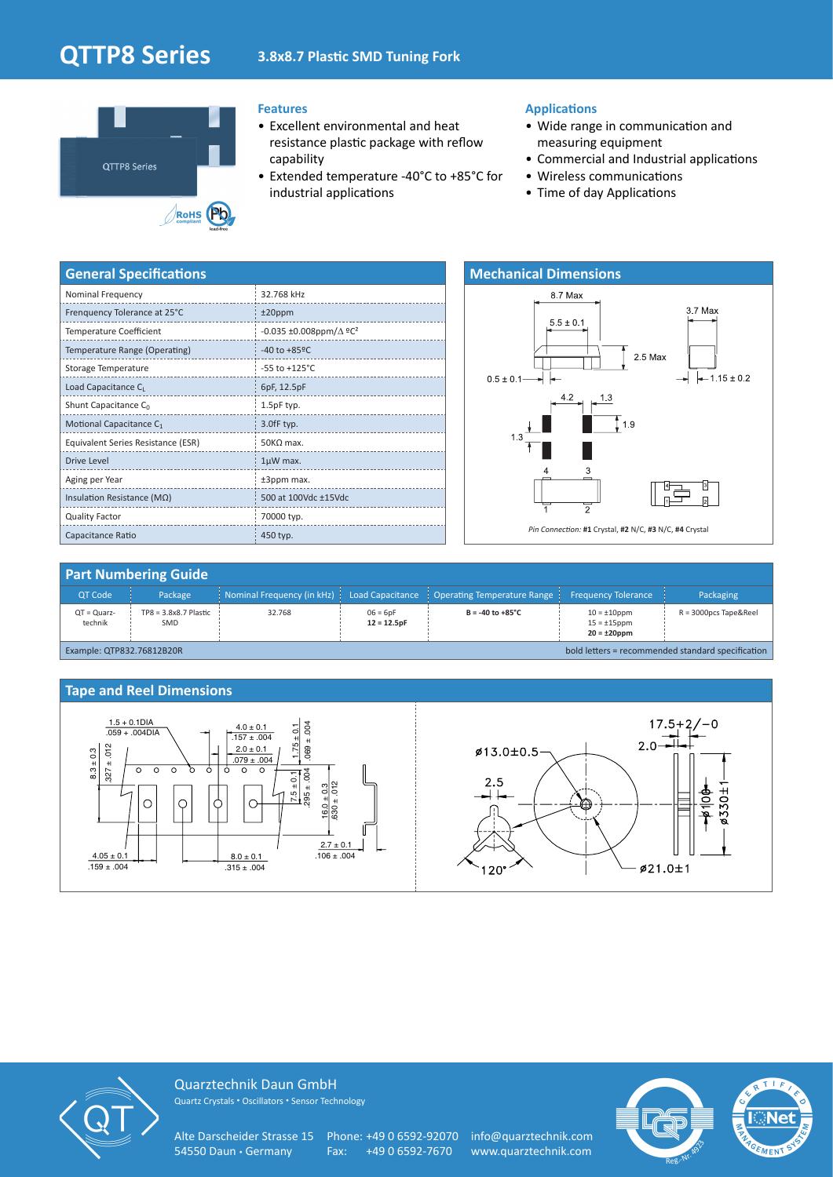# **QTTP8 Series 3.8x8.7 Plastic SMD Tuning Fork**



### **Features**

- Excellent environmental and heat resistance plastic package with reflow capability
- Extended temperature -40°C to +85°C for industrial applications

#### **Applications**

- Wide range in communication and measuring equipment
- Commercial and Industrial applications
- Wireless communications
- Time of day Applications

| <b>General Specifications</b>       |                                            |
|-------------------------------------|--------------------------------------------|
| Nominal Frequency                   | 32.768 kHz                                 |
| Frenquency Tolerance at 25°C        | $±20$ ppm                                  |
| <b>Temperature Coefficient</b>      | -0.035 ±0.008ppm/ $\Delta$ °C <sup>2</sup> |
| Temperature Range (Operating)       | $-40$ to $+85$ <sup>o</sup> C              |
| Storage Temperature                 | $-55$ to $+125^{\circ}$ C                  |
| Load Capacitance CL                 | 6pF, 12.5pF                                |
| Shunt Capacitance $C_0$             | 1.5pF typ.                                 |
| Motional Capacitance C <sub>1</sub> | 3.0fF typ.                                 |
| Equivalent Series Resistance (ESR)  | $50KQ$ max.                                |
| <b>Drive Level</b>                  | $1\mu$ W max.                              |
| Aging per Year                      | ±3ppm max.                                 |
| Insulation Resistance (ΜΩ)          | 500 at 100Vdc ±15Vdc                       |
| <b>Quality Factor</b>               | 70000 typ.                                 |
| Capacitance Ratio                   | 450 typ.                                   |



#### **Part Numbering Guide** QT Code Package Nominal Frequency (in kHz) Load Capacitance Operating Temperature Range Frequency Tolerance Packaging QT = Quarztechnik TP8 = 3.8x8.7 Plastic = SMD  $32.768$  06 = 6pF **12 = 12.5pF**  $B = -40$  to  $+85^{\circ}C$  10 = ±10ppm 15 = ±15ppm **20 = ±20ppm** R = 3000pcs Tape&Reel Example: QTP832.76812B20R bold letters = recommended standard specification





Quarztechnik Daun GmbH Quartz Crystals • Oscillators • Sensor Technology

Alte Darscheider Strasse 15 Phone: +49 0 6592-92070 info@quarztechnik.com 54550 Daun • Germany Fax: +49 0 6592-7670 www.quarztechnik.com